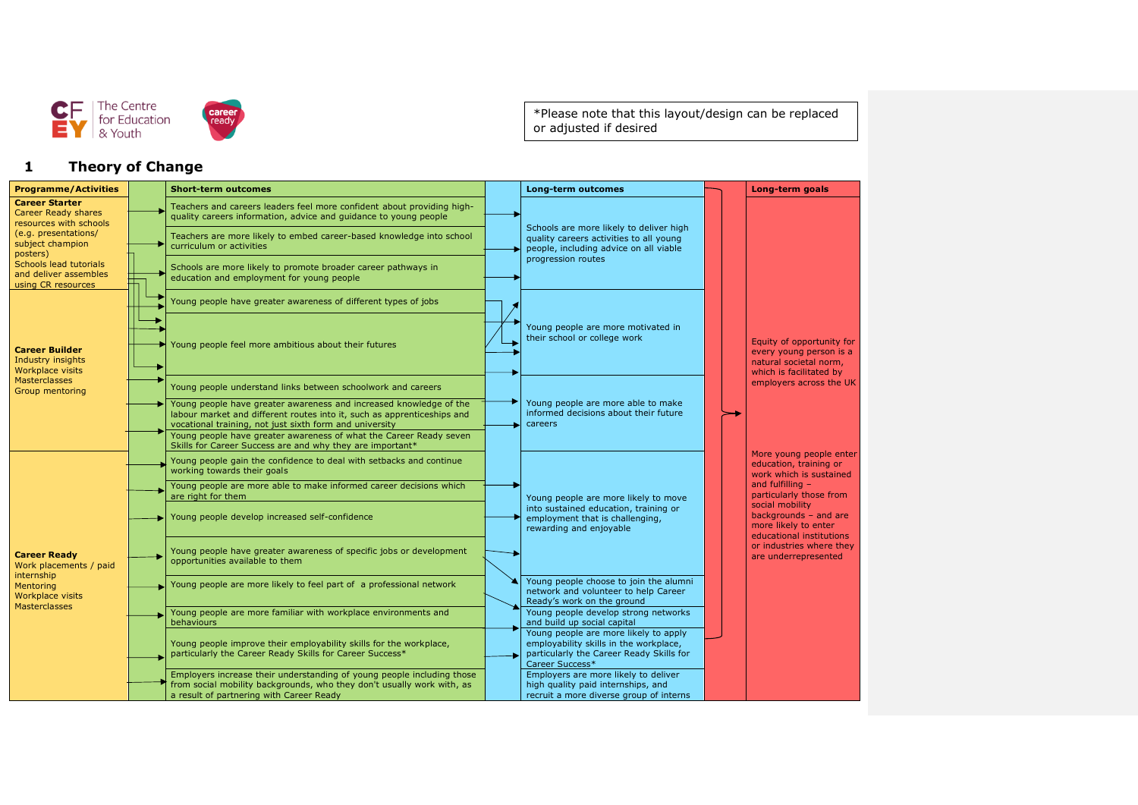



\*Please note that this layout/design can be replaced or adjusted if desired

## **1 Theory of Change**

| <b>Programme/Activities</b>                                                                                                           |  | <b>Short-term outcomes</b>                                                                                                                                                                               |                                                                    | <b>Long-term outcomes</b>                                                                                                                      |                                                                                                           | Long-term goals                                                                                                                                 |
|---------------------------------------------------------------------------------------------------------------------------------------|--|----------------------------------------------------------------------------------------------------------------------------------------------------------------------------------------------------------|--------------------------------------------------------------------|------------------------------------------------------------------------------------------------------------------------------------------------|-----------------------------------------------------------------------------------------------------------|-------------------------------------------------------------------------------------------------------------------------------------------------|
| <b>Career Starter</b><br><b>Career Ready shares</b><br>resources with schools<br>(e.g. presentations/<br>subject champion<br>posters) |  | Teachers and careers leaders feel more confident about providing high-<br>quality careers information, advice and quidance to young people                                                               |                                                                    |                                                                                                                                                |                                                                                                           |                                                                                                                                                 |
|                                                                                                                                       |  | Teachers are more likely to embed career-based knowledge into school<br>curriculum or activities                                                                                                         |                                                                    | Schools are more likely to deliver high<br>quality careers activities to all young<br>people, including advice on all viable                   |                                                                                                           |                                                                                                                                                 |
| Schools lead tutorials<br>and deliver assembles<br>using CR resources                                                                 |  | Schools are more likely to promote broader career pathways in<br>education and employment for young people                                                                                               |                                                                    | progression routes                                                                                                                             |                                                                                                           |                                                                                                                                                 |
| <b>Career Builder</b><br>Industry insights<br>Workplace visits<br><b>Masterclasses</b><br>Group mentoring                             |  | Young people have greater awareness of different types of jobs                                                                                                                                           | Young people are more motivated in<br>their school or college work |                                                                                                                                                |                                                                                                           |                                                                                                                                                 |
|                                                                                                                                       |  | Young people feel more ambitious about their futures                                                                                                                                                     |                                                                    |                                                                                                                                                | Equity of opportunity for<br>every young person is a<br>natural societal norm,<br>which is facilitated by |                                                                                                                                                 |
|                                                                                                                                       |  | Young people understand links between schoolwork and careers                                                                                                                                             |                                                                    |                                                                                                                                                |                                                                                                           | employers across the UK                                                                                                                         |
|                                                                                                                                       |  | Young people have greater awareness and increased knowledge of the<br>labour market and different routes into it, such as apprenticeships and<br>vocational training, not just sixth form and university |                                                                    | Young people are more able to make<br>informed decisions about their future<br>careers                                                         |                                                                                                           |                                                                                                                                                 |
|                                                                                                                                       |  | Young people have greater awareness of what the Career Ready seven<br>Skills for Career Success are and why they are important*                                                                          |                                                                    |                                                                                                                                                |                                                                                                           |                                                                                                                                                 |
|                                                                                                                                       |  | Young people gain the confidence to deal with setbacks and continue<br>working towards their goals                                                                                                       |                                                                    |                                                                                                                                                |                                                                                                           | More young people enter<br>education, training or<br>work which is sustained                                                                    |
|                                                                                                                                       |  | Young people are more able to make informed career decisions which<br>are right for them                                                                                                                 |                                                                    | Young people are more likely to move<br>into sustained education, training or<br>employment that is challenging,<br>rewarding and enjoyable    |                                                                                                           | and fulfilling $-$<br>particularly those from<br>social mobility<br>backgrounds $-$ and are<br>more likely to enter<br>educational institutions |
| <b>Career Ready</b><br>Work placements / paid<br>internship<br>Mentoring<br><b>Workplace visits</b><br><b>Masterclasses</b>           |  | Young people develop increased self-confidence                                                                                                                                                           |                                                                    |                                                                                                                                                |                                                                                                           |                                                                                                                                                 |
|                                                                                                                                       |  | Young people have greater awareness of specific jobs or development<br>opportunities available to them                                                                                                   |                                                                    |                                                                                                                                                |                                                                                                           | or industries where they<br>are underrepresented                                                                                                |
|                                                                                                                                       |  | Young people are more likely to feel part of a professional network                                                                                                                                      |                                                                    | Young people choose to join the alumni<br>network and volunteer to help Career<br>Ready's work on the ground                                   |                                                                                                           |                                                                                                                                                 |
|                                                                                                                                       |  | Young people are more familiar with workplace environments and<br>behaviours                                                                                                                             |                                                                    | Young people develop strong networks<br>and build up social capital                                                                            |                                                                                                           |                                                                                                                                                 |
|                                                                                                                                       |  | Young people improve their employability skills for the workplace,<br>particularly the Career Ready Skills for Career Success*                                                                           |                                                                    | Young people are more likely to apply<br>employability skills in the workplace,<br>particularly the Career Ready Skills for<br>Career Success* |                                                                                                           |                                                                                                                                                 |
|                                                                                                                                       |  | Employers increase their understanding of young people including those<br>from social mobility backgrounds, who they don't usually work with, as<br>a result of partnering with Career Ready             |                                                                    | Employers are more likely to deliver<br>high quality paid internships, and<br>recruit a more diverse group of interns                          |                                                                                                           |                                                                                                                                                 |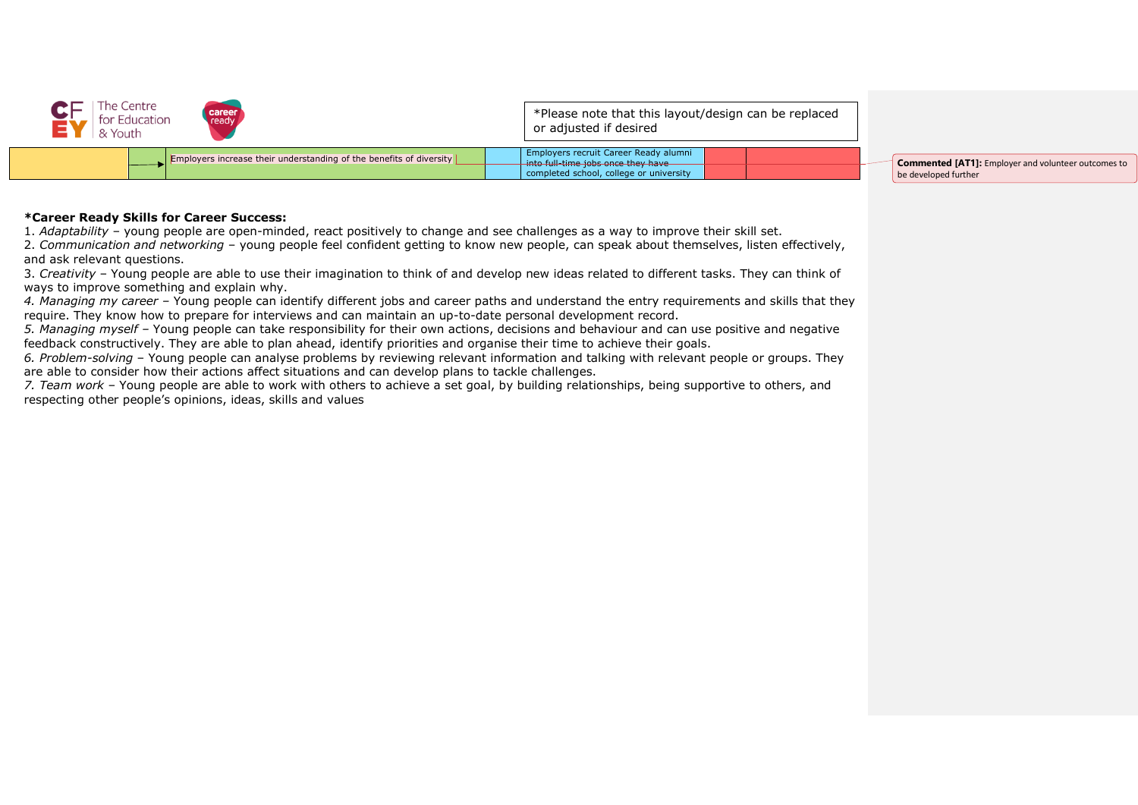

## **\*Career Ready Skills for Career Success:**

1. *Adaptability* – young people are open-minded, react positively to change and see challenges as a way to improve their skill set. 2. *Communication and networking* – young people feel confident getting to know new people, can speak about themselves, listen effectively, and ask relevant questions.

3. *Creativity* – Young people are able to use their imagination to think of and develop new ideas related to different tasks. They can think of ways to improve something and explain why.

*4. Managing my career –* Young people can identify different jobs and career paths and understand the entry requirements and skills that they require. They know how to prepare for interviews and can maintain an up-to-date personal development record.

*5. Managing myself –* Young people can take responsibility for their own actions, decisions and behaviour and can use positive and negative feedback constructively. They are able to plan ahead, identify priorities and organise their time to achieve their goals.

*6. Problem-solving* – Young people can analyse problems by reviewing relevant information and talking with relevant people or groups. They are able to consider how their actions affect situations and can develop plans to tackle challenges.

*7. Team work* – Young people are able to work with others to achieve a set goal, by building relationships, being supportive to others, and respecting other people's opinions, ideas, skills and values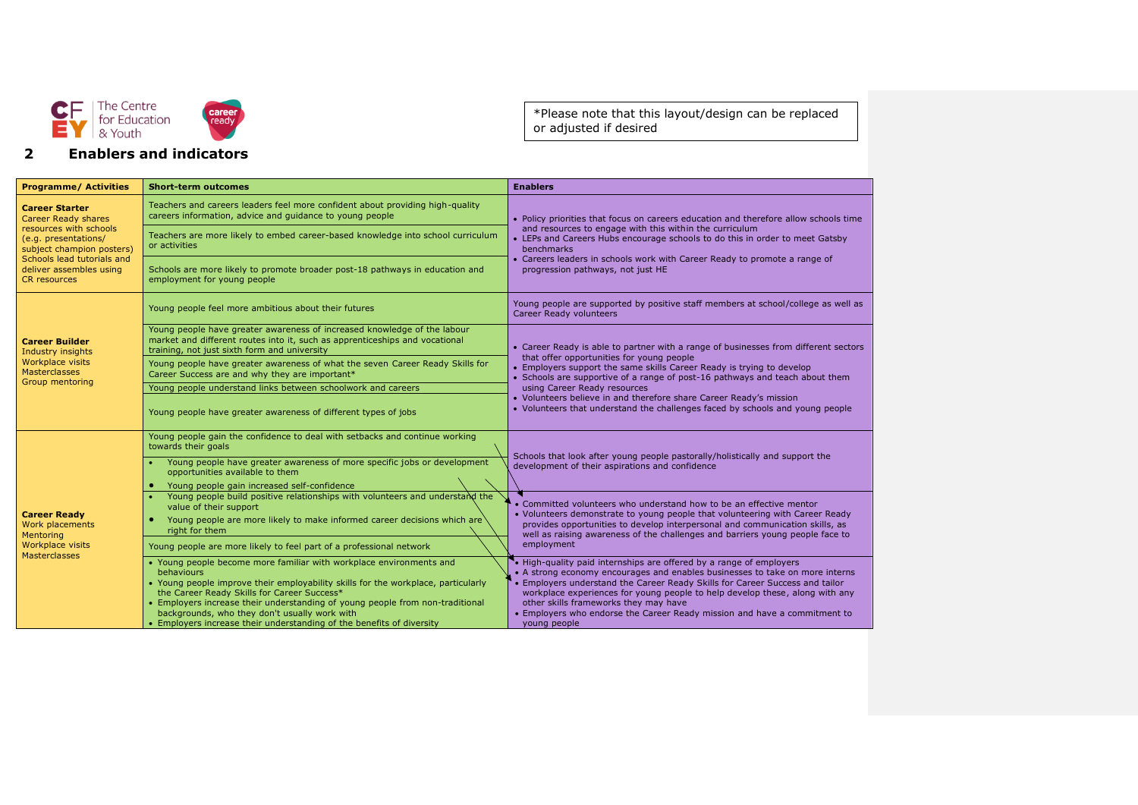

## **2 Enablers and indicators**

\*Please note that this layout/design can be replaced or adjusted if desired

| <b>Programme/ Activities</b>                                                                                                                                                                                       | <b>Short-term outcomes</b>                                                                                                                                                                                                                                                                                                                                                                                                              | <b>Enablers</b>                                                                                                                                                                                                                                                                                                                                                                                                                                           |  |
|--------------------------------------------------------------------------------------------------------------------------------------------------------------------------------------------------------------------|-----------------------------------------------------------------------------------------------------------------------------------------------------------------------------------------------------------------------------------------------------------------------------------------------------------------------------------------------------------------------------------------------------------------------------------------|-----------------------------------------------------------------------------------------------------------------------------------------------------------------------------------------------------------------------------------------------------------------------------------------------------------------------------------------------------------------------------------------------------------------------------------------------------------|--|
| <b>Career Starter</b><br><b>Career Ready shares</b><br>resources with schools<br>(e.g. presentations/<br>subject champion posters)<br>Schools lead tutorials and<br>deliver assembles using<br><b>CR</b> resources | Teachers and careers leaders feel more confident about providing high-quality<br>careers information, advice and quidance to young people                                                                                                                                                                                                                                                                                               | • Policy priorities that focus on careers education and therefore allow schools time<br>and resources to engage with this within the curriculum<br>• LEPs and Careers Hubs encourage schools to do this in order to meet Gatsby<br><b>benchmarks</b><br>• Careers leaders in schools work with Career Ready to promote a range of<br>progression pathways, not just HE                                                                                    |  |
|                                                                                                                                                                                                                    | Teachers are more likely to embed career-based knowledge into school curriculum<br>or activities                                                                                                                                                                                                                                                                                                                                        |                                                                                                                                                                                                                                                                                                                                                                                                                                                           |  |
|                                                                                                                                                                                                                    | Schools are more likely to promote broader post-18 pathways in education and<br>employment for young people                                                                                                                                                                                                                                                                                                                             |                                                                                                                                                                                                                                                                                                                                                                                                                                                           |  |
| <b>Career Builder</b><br>Industry insights<br>Workplace visits<br><b>Masterclasses</b>                                                                                                                             | Young people feel more ambitious about their futures                                                                                                                                                                                                                                                                                                                                                                                    | Young people are supported by positive staff members at school/college as well as<br><b>Career Ready volunteers</b>                                                                                                                                                                                                                                                                                                                                       |  |
|                                                                                                                                                                                                                    | Young people have greater awareness of increased knowledge of the labour<br>market and different routes into it, such as apprenticeships and vocational<br>training, not just sixth form and university                                                                                                                                                                                                                                 | • Career Ready is able to partner with a range of businesses from different sectors<br>that offer opportunities for young people<br>• Employers support the same skills Career Ready is trying to develop<br>• Schools are supportive of a range of post-16 pathways and teach about them                                                                                                                                                                 |  |
|                                                                                                                                                                                                                    | Young people have greater awareness of what the seven Career Ready Skills for<br>Career Success are and why they are important*                                                                                                                                                                                                                                                                                                         |                                                                                                                                                                                                                                                                                                                                                                                                                                                           |  |
| <b>Group mentoring</b>                                                                                                                                                                                             | Young people understand links between schoolwork and careers                                                                                                                                                                                                                                                                                                                                                                            | using Career Ready resources                                                                                                                                                                                                                                                                                                                                                                                                                              |  |
|                                                                                                                                                                                                                    | Young people have greater awareness of different types of jobs                                                                                                                                                                                                                                                                                                                                                                          | • Volunteers believe in and therefore share Career Ready's mission<br>• Volunteers that understand the challenges faced by schools and young people                                                                                                                                                                                                                                                                                                       |  |
|                                                                                                                                                                                                                    | Young people gain the confidence to deal with setbacks and continue working<br>towards their goals                                                                                                                                                                                                                                                                                                                                      | Schools that look after young people pastorally/holistically and support the                                                                                                                                                                                                                                                                                                                                                                              |  |
|                                                                                                                                                                                                                    | Young people have greater awareness of more specific jobs or development<br>opportunities available to them                                                                                                                                                                                                                                                                                                                             | development of their aspirations and confidence                                                                                                                                                                                                                                                                                                                                                                                                           |  |
|                                                                                                                                                                                                                    | Young people gain increased self-confidence<br>$\bullet$<br>Young people build positive relationships with volunteers and understand the                                                                                                                                                                                                                                                                                                |                                                                                                                                                                                                                                                                                                                                                                                                                                                           |  |
|                                                                                                                                                                                                                    | value of their support                                                                                                                                                                                                                                                                                                                                                                                                                  | Committed volunteers who understand how to be an effective mentor                                                                                                                                                                                                                                                                                                                                                                                         |  |
| <b>Career Ready</b><br>Work placements<br>Mentoring<br>Workplace visits<br><b>Masterclasses</b>                                                                                                                    | Young people are more likely to make informed career decisions which are<br>right for them                                                                                                                                                                                                                                                                                                                                              | • Volunteers demonstrate to young people that volunteering with Career Ready<br>provides opportunities to develop interpersonal and communication skills, as<br>well as raising awareness of the challenges and barriers young people face to                                                                                                                                                                                                             |  |
|                                                                                                                                                                                                                    | Young people are more likely to feel part of a professional network                                                                                                                                                                                                                                                                                                                                                                     | employment                                                                                                                                                                                                                                                                                                                                                                                                                                                |  |
|                                                                                                                                                                                                                    | • Young people become more familiar with workplace environments and<br><b>behaviours</b><br>• Young people improve their employability skills for the workplace, particularly<br>the Career Ready Skills for Career Success*<br>• Employers increase their understanding of young people from non-traditional<br>backgrounds, who they don't usually work with<br>• Employers increase their understanding of the benefits of diversity | • High-quality paid internships are offered by a range of employers<br>• A strong economy encourages and enables businesses to take on more interns<br>• Employers understand the Career Ready Skills for Career Success and tailor<br>workplace experiences for young people to help develop these, along with any<br>other skills frameworks they may have<br>• Employers who endorse the Career Ready mission and have a commitment to<br>young people |  |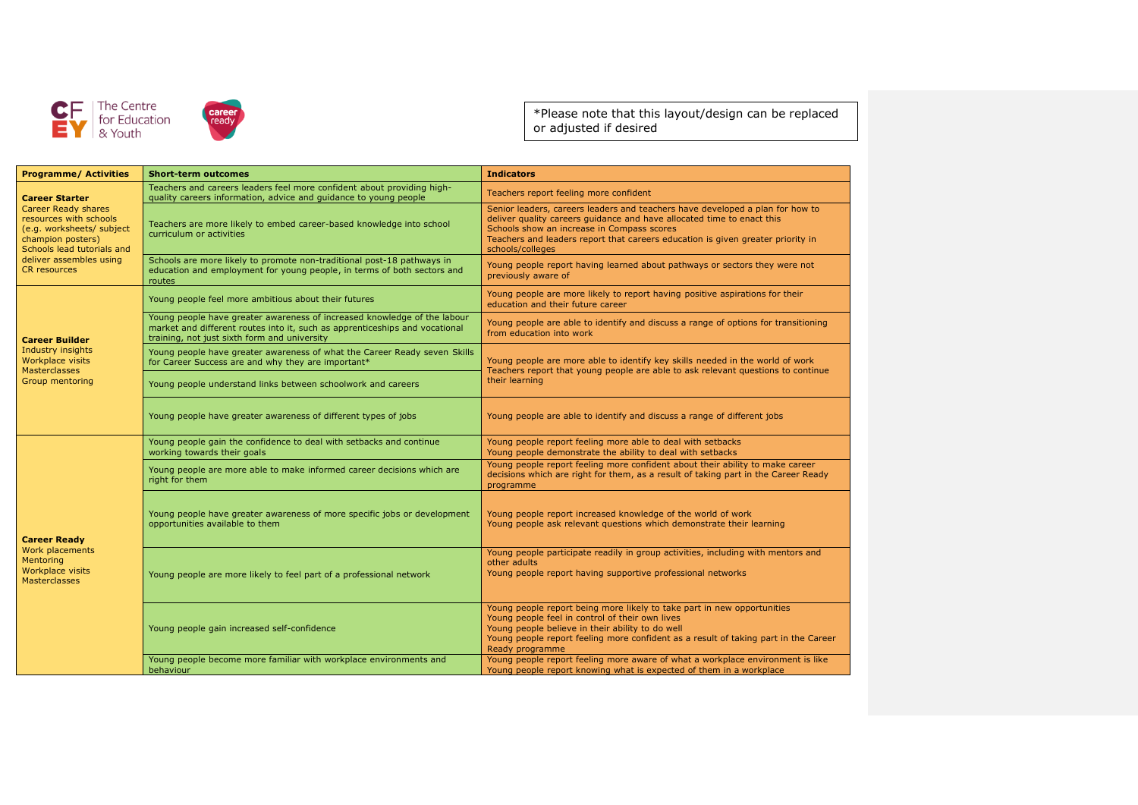



\*Please note that this layout/design can be replaced or adjusted if desired

| <b>Programme/ Activities</b>                                                                                                                                                                             | <b>Short-term outcomes</b>                                                                                                                                                                              | <b>Indicators</b>                                                                                                                                                                                                                                                                                            |  |
|----------------------------------------------------------------------------------------------------------------------------------------------------------------------------------------------------------|---------------------------------------------------------------------------------------------------------------------------------------------------------------------------------------------------------|--------------------------------------------------------------------------------------------------------------------------------------------------------------------------------------------------------------------------------------------------------------------------------------------------------------|--|
| <b>Career Starter</b><br>Career Ready shares<br>resources with schools<br>(e.g. worksheets/ subject<br>champion posters)<br>Schools lead tutorials and<br>deliver assembles using<br><b>CR</b> resources | Teachers and careers leaders feel more confident about providing high-<br>quality careers information, advice and guidance to young people                                                              | Teachers report feeling more confident                                                                                                                                                                                                                                                                       |  |
|                                                                                                                                                                                                          | Teachers are more likely to embed career-based knowledge into school<br>curriculum or activities                                                                                                        | Senior leaders, careers leaders and teachers have developed a plan for how to<br>deliver quality careers guidance and have allocated time to enact this<br>Schools show an increase in Compass scores<br>Teachers and leaders report that careers education is given greater priority in<br>schools/colleges |  |
|                                                                                                                                                                                                          | Schools are more likely to promote non-traditional post-18 pathways in<br>education and employment for young people, in terms of both sectors and<br>routes                                             | Young people report having learned about pathways or sectors they were not<br>previously aware of                                                                                                                                                                                                            |  |
| <b>Career Builder</b><br>Industry insights<br>Workplace visits<br><b>Masterclasses</b><br>Group mentoring                                                                                                | Young people feel more ambitious about their futures                                                                                                                                                    | Young people are more likely to report having positive aspirations for their<br>education and their future career                                                                                                                                                                                            |  |
|                                                                                                                                                                                                          | Young people have greater awareness of increased knowledge of the labour<br>market and different routes into it, such as apprenticeships and vocational<br>training, not just sixth form and university | Young people are able to identify and discuss a range of options for transitioning<br>from education into work                                                                                                                                                                                               |  |
|                                                                                                                                                                                                          | Young people have greater awareness of what the Career Ready seven Skills<br>for Career Success are and why they are important*                                                                         | Young people are more able to identify key skills needed in the world of work<br>Teachers report that young people are able to ask relevant questions to continue                                                                                                                                            |  |
|                                                                                                                                                                                                          | Young people understand links between schoolwork and careers                                                                                                                                            | their learning                                                                                                                                                                                                                                                                                               |  |
|                                                                                                                                                                                                          | Young people have greater awareness of different types of jobs                                                                                                                                          | Young people are able to identify and discuss a range of different jobs                                                                                                                                                                                                                                      |  |
| <b>Career Ready</b><br>Work placements<br>Mentoring<br>Workplace visits<br><b>Masterclasses</b>                                                                                                          | Young people gain the confidence to deal with setbacks and continue<br>working towards their goals                                                                                                      | Young people report feeling more able to deal with setbacks<br>Young people demonstrate the ability to deal with setbacks                                                                                                                                                                                    |  |
|                                                                                                                                                                                                          | Young people are more able to make informed career decisions which are<br>right for them                                                                                                                | Young people report feeling more confident about their ability to make career<br>decisions which are right for them, as a result of taking part in the Career Ready<br>programme                                                                                                                             |  |
|                                                                                                                                                                                                          | Young people have greater awareness of more specific jobs or development<br>opportunities available to them                                                                                             | Young people report increased knowledge of the world of work<br>Young people ask relevant questions which demonstrate their learning                                                                                                                                                                         |  |
|                                                                                                                                                                                                          | Young people are more likely to feel part of a professional network                                                                                                                                     | Young people participate readily in group activities, including with mentors and<br>other adults<br>Young people report having supportive professional networks                                                                                                                                              |  |
|                                                                                                                                                                                                          | Young people gain increased self-confidence                                                                                                                                                             | Young people report being more likely to take part in new opportunities<br>Young people feel in control of their own lives<br>Young people believe in their ability to do well<br>Young people report feeling more confident as a result of taking part in the Career<br>Ready programme                     |  |
|                                                                                                                                                                                                          | Young people become more familiar with workplace environments and<br>behaviour                                                                                                                          | Young people report feeling more aware of what a workplace environment is like<br>Young people report knowing what is expected of them in a workplace                                                                                                                                                        |  |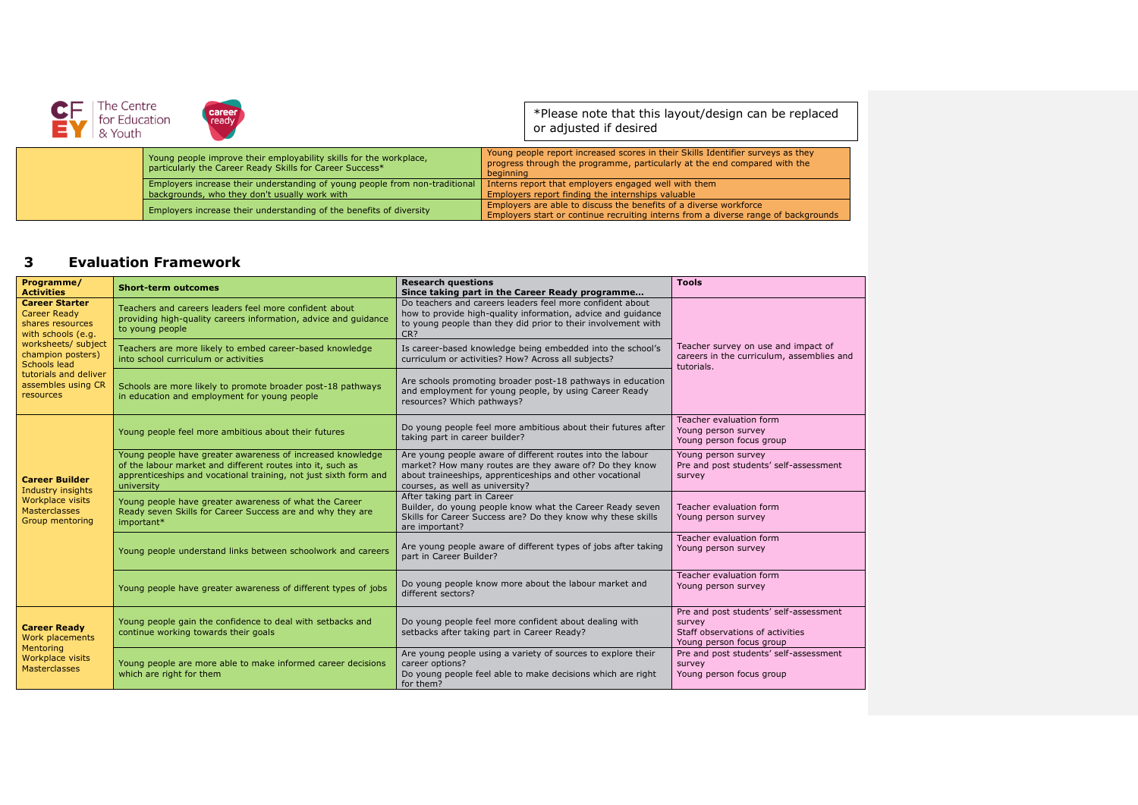| The Centre<br>for Education<br>& Youth | career<br>ready                                                                                                                |                                                                                                                                                                           | *Please note that this layout/design can be replaced<br>or adjusted if desired                                                                          |
|----------------------------------------|--------------------------------------------------------------------------------------------------------------------------------|---------------------------------------------------------------------------------------------------------------------------------------------------------------------------|---------------------------------------------------------------------------------------------------------------------------------------------------------|
|                                        | Young people improve their employability skills for the workplace,<br>particularly the Career Ready Skills for Career Success* | Young people report increased scores in their Skills Identifier surveys as they<br>progress through the programme, particularly at the end compared with the<br>beginning |                                                                                                                                                         |
|                                        | Employers increase their understanding of young people from non-traditional<br>backgrounds, who they don't usually work with   |                                                                                                                                                                           | Interns report that employers engaged well with them<br>Employers report finding the internships valuable                                               |
|                                        | Employers increase their understanding of the benefits of diversity                                                            |                                                                                                                                                                           | Employers are able to discuss the benefits of a diverse workforce<br>Employers start or continue recruiting interns from a diverse range of backgrounds |

## **3 Evaluation Framework**

| Programme/<br><b>Activities</b>                                                                                                                                                                                | <b>Short-term outcomes</b>                                                                                                                                                                                 | <b>Research questions</b><br>Since taking part in the Career Ready programme                                                                                                                                         | <b>Tools</b>                                                                                                     |  |
|----------------------------------------------------------------------------------------------------------------------------------------------------------------------------------------------------------------|------------------------------------------------------------------------------------------------------------------------------------------------------------------------------------------------------------|----------------------------------------------------------------------------------------------------------------------------------------------------------------------------------------------------------------------|------------------------------------------------------------------------------------------------------------------|--|
| <b>Career Starter</b><br><b>Career Ready</b><br>shares resources<br>with schools (e.g.<br>worksheets/ subject<br>champion posters)<br>Schools lead<br>tutorials and deliver<br>assembles using CR<br>resources | Teachers and careers leaders feel more confident about<br>providing high-quality careers information, advice and guidance<br>to young people                                                               | Do teachers and careers leaders feel more confident about<br>how to provide high-quality information, advice and guidance<br>to young people than they did prior to their involvement with<br>CR?                    |                                                                                                                  |  |
|                                                                                                                                                                                                                | Teachers are more likely to embed career-based knowledge<br>into school curriculum or activities                                                                                                           | Is career-based knowledge being embedded into the school's<br>curriculum or activities? How? Across all subjects?                                                                                                    | Teacher survey on use and impact of<br>careers in the curriculum, assemblies and<br>tutorials.                   |  |
|                                                                                                                                                                                                                | Schools are more likely to promote broader post-18 pathways<br>in education and employment for young people                                                                                                | Are schools promoting broader post-18 pathways in education<br>and employment for young people, by using Career Ready<br>resources? Which pathways?                                                                  |                                                                                                                  |  |
| <b>Career Builder</b><br>Industry insights<br><b>Workplace visits</b><br><b>Masterclasses</b><br>Group mentoring                                                                                               | Young people feel more ambitious about their futures                                                                                                                                                       | Do young people feel more ambitious about their futures after<br>taking part in career builder?                                                                                                                      | Teacher evaluation form<br>Young person survey<br>Young person focus group                                       |  |
|                                                                                                                                                                                                                | Young people have greater awareness of increased knowledge<br>of the labour market and different routes into it, such as<br>apprenticeships and vocational training, not just sixth form and<br>university | Are young people aware of different routes into the labour<br>market? How many routes are they aware of? Do they know<br>about traineeships, apprenticeships and other vocational<br>courses, as well as university? | Young person survey<br>Pre and post students' self-assessment<br>survey                                          |  |
|                                                                                                                                                                                                                | Young people have greater awareness of what the Career<br>Ready seven Skills for Career Success are and why they are<br>important*                                                                         | After taking part in Career<br>Builder, do young people know what the Career Ready seven<br>Skills for Career Success are? Do they know why these skills<br>are important?                                           | Teacher evaluation form<br>Young person survey                                                                   |  |
|                                                                                                                                                                                                                | Young people understand links between schoolwork and careers                                                                                                                                               | Are young people aware of different types of jobs after taking<br>part in Career Builder?                                                                                                                            | Teacher evaluation form<br>Young person survey                                                                   |  |
|                                                                                                                                                                                                                | Young people have greater awareness of different types of jobs                                                                                                                                             | Do young people know more about the labour market and<br>different sectors?                                                                                                                                          | Teacher evaluation form<br>Young person survey                                                                   |  |
| <b>Career Ready</b><br>Work placements<br>Mentoring<br>Workplace visits<br><b>Masterclasses</b>                                                                                                                | Young people gain the confidence to deal with setbacks and<br>continue working towards their goals                                                                                                         | Do young people feel more confident about dealing with<br>setbacks after taking part in Career Ready?                                                                                                                | Pre and post students' self-assessment<br>survey<br>Staff observations of activities<br>Young person focus group |  |
|                                                                                                                                                                                                                | Young people are more able to make informed career decisions<br>which are right for them                                                                                                                   | Are young people using a variety of sources to explore their<br>career options?<br>Do young people feel able to make decisions which are right<br>for them?                                                          | Pre and post students' self-assessment<br>survey<br>Young person focus group                                     |  |